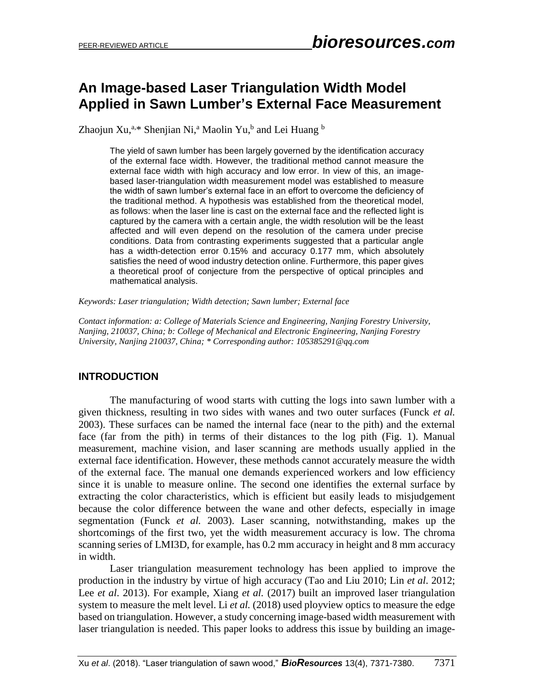# **An Image-based Laser Triangulation Width Model Applied in Sawn Lumber's External Face Measurement**

Zhaojun Xu,<sup>a,\*</sup> Shenjian Ni,<sup>a</sup> Maolin Yu,<sup>b</sup> and Lei Huang <sup>b</sup>

The yield of sawn lumber has been largely governed by the identification accuracy of the external face width. However, the traditional method cannot measure the external face width with high accuracy and low error. In view of this, an imagebased laser-triangulation width measurement model was established to measure the width of sawn lumber's external face in an effort to overcome the deficiency of the traditional method. A hypothesis was established from the theoretical model, as follows: when the laser line is cast on the external face and the reflected light is captured by the camera with a certain angle, the width resolution will be the least affected and will even depend on the resolution of the camera under precise conditions. Data from contrasting experiments suggested that a particular angle has a width-detection error 0.15% and accuracy 0.177 mm, which absolutely satisfies the need of wood industry detection online. Furthermore, this paper gives a theoretical proof of conjecture from the perspective of optical principles and mathematical analysis.

*Keywords: Laser triangulation; Width detection; Sawn lumber; External face*

*Contact information: a: College of Materials Science and Engineering, Nanjing Forestry University, Nanjing, 210037, China; b: College of Mechanical and Electronic Engineering, Nanjing Forestry University, Nanjing 210037, China; \* Corresponding author[: 105385291@qq.com](mailto:105385291@qq.com;)*

### **INTRODUCTION**

The manufacturing of wood starts with cutting the logs into sawn lumber with a given thickness, resulting in two sides with wanes and two outer surfaces (Funck *et al.* 2003). These surfaces can be named the internal face (near to the pith) and the external face (far from the pith) in terms of their distances to the log pith (Fig. 1). Manual measurement, machine vision, and laser scanning are methods usually applied in the external face identification. However, these methods cannot accurately measure the width of the external face. The manual one demands experienced workers and low efficiency since it is unable to measure online. The second one identifies the external surface by extracting the color characteristics, which is efficient but easily leads to misjudgement because the color difference between the wane and other defects, especially in image segmentation (Funck *et al.* 2003). Laser scanning, notwithstanding, makes up the shortcomings of the first two, yet the width measurement accuracy is low. The chroma scanning series of LMI3D, for example, has 0.2 mm accuracy in height and 8 mm accuracy in width.

Laser triangulation measurement technology has been applied to improve the production in the industry by virtue of high accuracy (Tao and Liu 2010; Lin *et al*. 2012; Lee *et al*. 2013). For example, Xiang *et al.* (2017) built an improved laser triangulation system to measure the melt level. Li *et al.* (2018) used ployview optics to measure the edge based on triangulation. However, a study concerning image-based width measurement with laser triangulation is needed. This paper looks to address this issue by building an image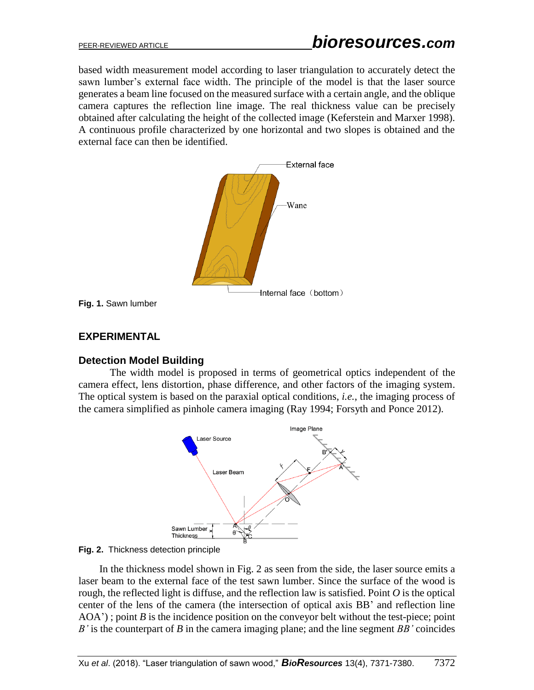based width measurement model according to laser triangulation to accurately detect the sawn lumber's external face width. The principle of the model is that the laser source generates a beam line focused on the measured surface with a certain angle, and the oblique camera captures the reflection line image. The real thickness value can be precisely obtained after calculating the height of the collected image (Keferstein and Marxer 1998). A continuous profile characterized by one horizontal and two slopes is obtained and the external face can then be identified.



**Fig. 1.** Sawn lumber

#### **EXPERIMENTAL**

#### **Detection Model Building**

The width model is proposed in terms of geometrical optics independent of the camera effect, lens distortion, phase difference, and other factors of the imaging system. The optical system is based on the paraxial optical conditions, *i.e.*, the imaging process of the camera simplified as pinhole camera imaging (Ray 1994; Forsyth and Ponce 2012).





In the thickness model shown in Fig. 2 as seen from the side, the laser source emits a laser beam to the external face of the test sawn lumber. Since the surface of the wood is rough, the reflected light is diffuse, and the reflection law is satisfied. Point *O* is the optical center of the lens of the camera (the intersection of optical axis BB' and reflection line AOA'); point *B* is the incidence position on the conveyor belt without the test-piece; point *B'* is the counterpart of *B* in the camera imaging plane; and the line segment *BB'* coincides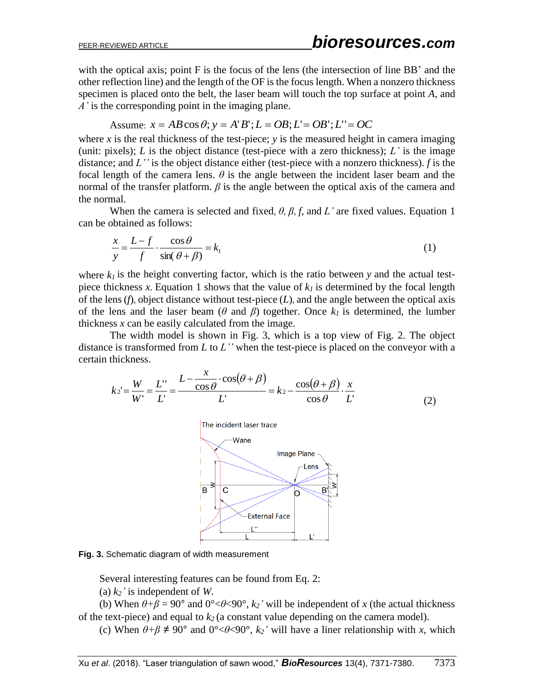with the optical axis; point F is the focus of the lens (the intersection of line BB' and the other reflection line) and the length of the OF is the focus length. When a nonzero thickness specimen is placed onto the belt, the laser beam will touch the top surface at point *A*, and *A'* is the corresponding point in the imaging plane.

## Assume:  $x = AB\cos\theta$ ;  $y = A'B'$ ;  $L = OB$ ;  $L' = OB'$ ;  $L'' = OC$

where  $\bar{x}$  is the real thickness of the test-piece;  $\bar{y}$  is the measured height in camera imaging (unit: pixels);  $L$  is the object distance (test-piece with a zero thickness);  $L'$  is the image distance; and *L''* is the object distance either (test-piece with a nonzero thickness). *f* is the focal length of the camera lens.  $\theta$  is the angle between the incident laser beam and the normal of the transfer platform.  $\beta$  is the angle between the optical axis of the camera and the normal.

When the camera is selected and fixed,  $\theta$ ,  $\beta$ ,  $f$ , and  $L'$  are fixed values. Equation 1 can be obtained as follows:

$$
\frac{x}{y} = \frac{L - f}{f} \cdot \frac{\cos \theta}{\sin(\theta + \beta)} = k_1 \tag{1}
$$

where  $k_l$  is the height converting factor, which is the ratio between  $y$  and the actual testpiece thickness *x*. Equation 1 shows that the value of  $k_l$  is determined by the focal length of the lens (*f*), object distance without test-piece (*L*), and the angle between the optical axis of the lens and the laser beam ( $\theta$  and  $\beta$ ) together. Once  $k_l$  is determined, the lumber thickness *x* can be easily calculated from the image.

The width model is shown in Fig. 3, which is a top view of Fig. 2. The object distance is transformed from *L* to *L''* when the test-piece is placed on the conveyor with a certain thickness.

$$
k_2 = \frac{W}{W'} = \frac{L'}{L'} = \frac{L - \frac{x}{\cos \theta} \cdot \cos(\theta + \beta)}{L'} = k_2 - \frac{\cos(\theta + \beta)}{\cos \theta} \cdot \frac{x}{L'}
$$
(2)



**Fig. 3.** Schematic diagram of width measurement

Several interesting features can be found from Eq. 2:

(a) *k2'* is independent of *W*.

(b) When  $\theta + \beta = 90^{\circ}$  and  $0^{\circ} < \theta < 90^{\circ}$ ,  $k_2$ <sup>*'*</sup> will be independent of *x* (the actual thickness of the text-piece) and equal to *k<sup>2</sup>* (a constant value depending on the camera model).

(c) When  $\theta + \beta \neq 90^{\circ}$  and  $0^{\circ} < \theta < 90^{\circ}$ ,  $k_2$ <sup>*'*</sup> will have a liner relationship with *x*, which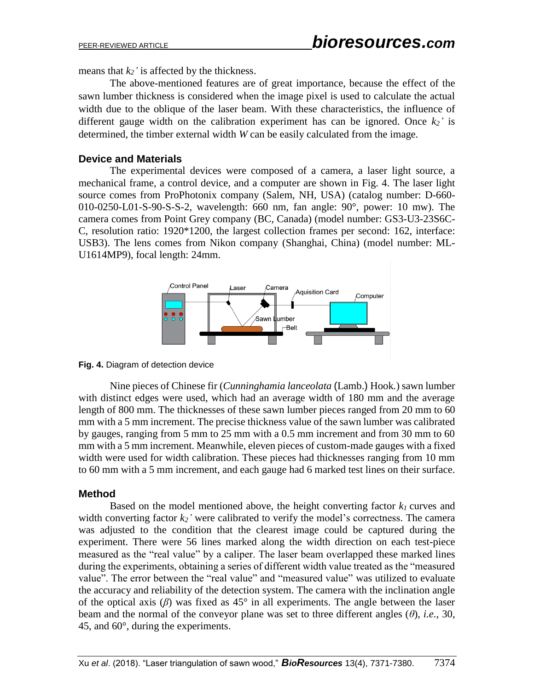means that  $k_2$ ' is affected by the thickness.

The above-mentioned features are of great importance, because the effect of the sawn lumber thickness is considered when the image pixel is used to calculate the actual width due to the oblique of the laser beam. With these characteristics, the influence of different gauge width on the calibration experiment has can be ignored. Once  $k_2$ <sup>'</sup> is determined, the timber external width *W* can be easily calculated from the image.

#### **Device and Materials**

The experimental devices were composed of a camera, a laser light source, a mechanical frame, a control device, and a computer are shown in Fig. 4. The laser light source comes from ProPhotonix company (Salem, NH, USA) (catalog number: D-660- 010-0250-L01-S-90-S-S-2, wavelength: 660 nm, fan angle: 90°, power: 10 mw). The camera comes from Point Grey company (BC, Canada) (model number: GS3-U3-23S6C-C, resolution ratio: 1920\*1200, the largest collection frames per second: 162, interface: USB3). The lens comes from Nikon company (Shanghai, China) (model number: ML-U1614MP9), focal length: 24mm.



**Fig. 4.** Diagram of detection device

Nine pieces of Chinese fir (*Cunninghamia lanceolata* (Lamb.) Hook*.*) sawn lumber with distinct edges were used, which had an average width of 180 mm and the average length of 800 mm. The thicknesses of these sawn lumber pieces ranged from 20 mm to 60 mm with a 5 mm increment. The precise thickness value of the sawn lumber was calibrated by gauges, ranging from 5 mm to 25 mm with a 0.5 mm increment and from 30 mm to 60 mm with a 5 mm increment. Meanwhile, eleven pieces of custom-made gauges with a fixed width were used for width calibration. These pieces had thicknesses ranging from 10 mm to 60 mm with a 5 mm increment, and each gauge had 6 marked test lines on their surface.

### **Method**

Based on the model mentioned above, the height converting factor  $k_l$  curves and width converting factor  $k_2$ <sup>'</sup> were calibrated to verify the model's correctness. The camera was adjusted to the condition that the clearest image could be captured during the experiment. There were 56 lines marked along the width direction on each test-piece measured as the "real value" by a caliper. The laser beam overlapped these marked lines during the experiments, obtaining a series of different width value treated as the "measured value". The error between the "real value" and "measured value" was utilized to evaluate the accuracy and reliability of the detection system. The camera with the inclination angle of the optical axis  $(\beta)$  was fixed as 45° in all experiments. The angle between the laser beam and the normal of the conveyor plane was set to three different angles (*θ*), *i.e.*, 30, 45, and 60°, during the experiments.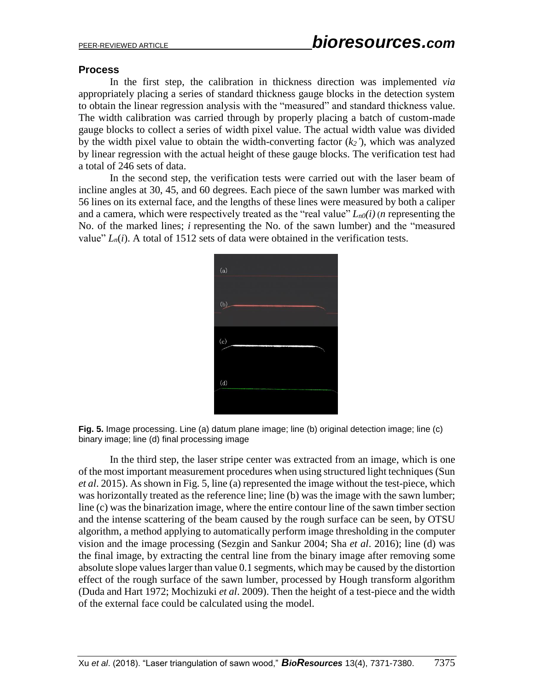### **Process**

In the first step, the calibration in thickness direction was implemented *via* appropriately placing a series of standard thickness gauge blocks in the detection system to obtain the linear regression analysis with the "measured" and standard thickness value. The width calibration was carried through by properly placing a batch of custom-made gauge blocks to collect a series of width pixel value. The actual width value was divided by the width pixel value to obtain the width-converting factor (*k2'*), which was analyzed by linear regression with the actual height of these gauge blocks. The verification test had a total of 246 sets of data.

In the second step, the verification tests were carried out with the laser beam of incline angles at 30, 45, and 60 degrees. Each piece of the sawn lumber was marked with 56 lines on its external face, and the lengths of these lines were measured by both a caliper and a camera, which were respectively treated as the "real value" *Ln0(i)* (*n* representing the No. of the marked lines; *i* representing the No. of the sawn lumber) and the "measured value"  $L_n(i)$ . A total of 1512 sets of data were obtained in the verification tests.



**Fig. 5.** Image processing. Line (a) datum plane image; line (b) original detection image; line (c) binary image; line (d) final processing image

In the third step, the laser stripe center was extracted from an image, which is one of the most important measurement procedures when using structured light techniques (Sun *et al*. 2015). As shown in Fig. 5, line (a) represented the image without the test-piece, which was horizontally treated as the reference line; line (b) was the image with the sawn lumber; line (c) was the binarization image, where the entire contour line of the sawn timber section and the intense scattering of the beam caused by the rough surface can be seen, by OTSU algorithm, a method applying to automatically perform image thresholding in the computer vision and the image processing (Sezgin and Sankur 2004; Sha *et al*. 2016); line (d) was the final image, by extracting the central line from the binary image after removing some absolute slope values larger than value 0.1 segments, which may be caused by the distortion effect of the rough surface of the sawn lumber, processed by Hough transform algorithm (Duda and Hart 1972; Mochizuki *et al*. 2009). Then the height of a test-piece and the width of the external face could be calculated using the model.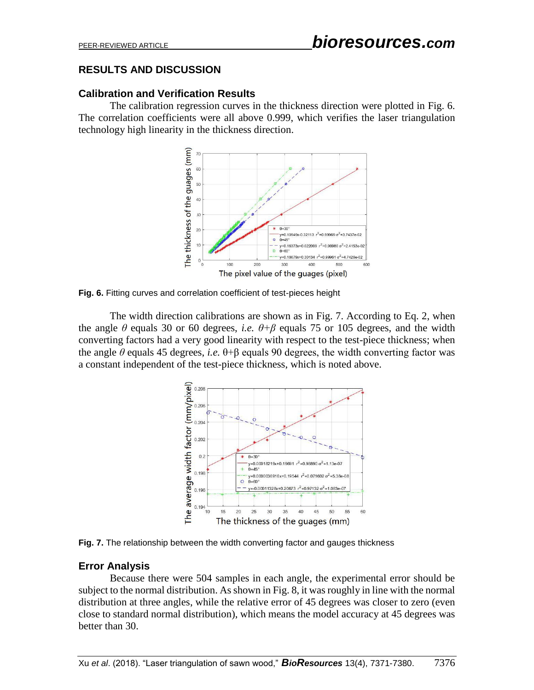# **RESULTS AND DISCUSSION**

### **Calibration and Verification Results**

The calibration regression curves in the thickness direction were plotted in Fig. 6. The correlation coefficients were all above 0.999, which verifies the laser triangulation technology high linearity in the thickness direction.



**Fig. 6.** Fitting curves and correlation coefficient of test-pieces height

The width direction calibrations are shown as in Fig. 7. According to Eq. 2, when the angle  $\theta$  equals 30 or 60 degrees, *i.e.*  $\theta + \beta$  equals 75 or 105 degrees, and the width converting factors had a very good linearity with respect to the test-piece thickness; when the angle *θ* equals 45 degrees, *i.e.* θ+β equals 90 degrees, the width converting factor was a constant independent of the test-piece thickness, which is noted above.



**Fig. 7.** The relationship between the width converting factor and gauges thickness

# **Error Analysis**

Because there were 504 samples in each angle, the experimental error should be subject to the normal distribution. As shown in Fig. 8, it was roughly in line with the normal distribution at three angles, while the relative error of 45 degrees was closer to zero (even close to standard normal distribution), which means the model accuracy at 45 degrees was better than 30.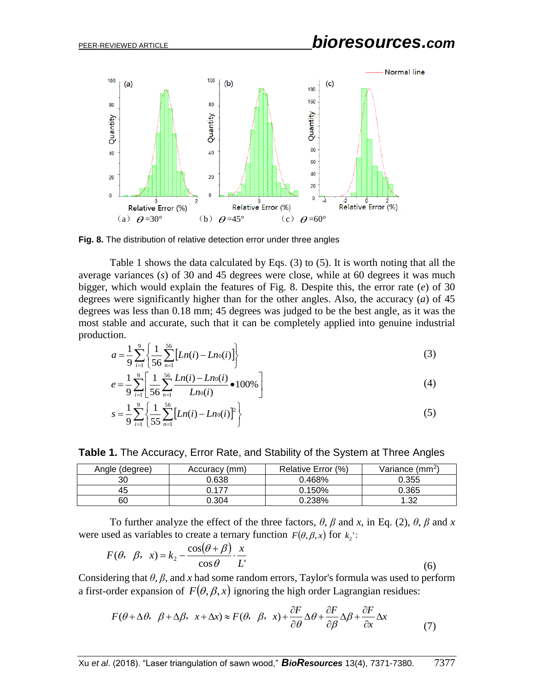# PEER-REVIEWED ARTICLE *bioresources.com*



**Fig. 8.** The distribution of relative detection error under three angles

Table 1 shows the data calculated by Eqs. (3) to (5). It is worth noting that all the average variances (*s*) of 30 and 45 degrees were close, while at 60 degrees it was much bigger, which would explain the features of Fig. 8. Despite this, the error rate (*e*) of 30 degrees were significantly higher than for the other angles. Also, the accuracy (*a*) of 45 degrees was less than 0.18 mm; 45 degrees was judged to be the best angle, as it was the most stable and accurate, such that it can be completely applied into genuine industrial production.

$$
a = \frac{1}{9} \sum_{i=1}^{9} \left\{ \frac{1}{56} \sum_{n=1}^{56} \left[ Ln(i) - Ln(i) \right] \right\}
$$
 (3)

$$
e = \frac{1}{9} \sum_{i=1}^{9} \left[ \frac{1}{56} \sum_{n=1}^{56} \frac{Ln(i) - Ln(0i)}{Ln(0i)} \bullet 100\% \right]
$$
(4)

$$
s = \frac{1}{9} \sum_{i=1}^{9} \left\{ \frac{1}{55} \sum_{n=1}^{56} \left[ Ln(i) - Ln(i) \right]^2 \right\}
$$
 (5)

**Table 1.** The Accuracy, Error Rate, and Stability of the System at Three Angles

| Angle (degree) | Accuracy (mm) | Relative Error (%) | Variance (mm <sup>2</sup> ) |
|----------------|---------------|--------------------|-----------------------------|
| 30             | 0.638         | 0.468%             | 0.355                       |
| 45             | ገ 177         | 0.150%             | 0.365                       |
| 60             | 0.304         | 0.238%             | 1.32                        |

To further analyze the effect of the three factors,  $\theta$ ,  $\beta$  and *x*, in Eq. (2),  $\theta$ ,  $\beta$  and *x* were used as variables to create a ternary function  $F(\theta, \beta, x)$  for  $k_2$ <sup>'</sup>:

$$
F(\theta, \beta, x) = k_2 - \frac{\cos(\theta + \beta)}{\cos \theta} \cdot \frac{x}{L}
$$
 (6)

Considering that *θ*, *β*, and *x* had some random errors, Taylor's formula was used to perform a first-order expansion of  $F(\theta, \beta, x)$  ignoring the high order Lagrangian residues:

$$
F(\theta + \Delta \theta, \ \beta + \Delta \beta, \ x + \Delta x) \approx F(\theta, \ \beta, \ x) + \frac{\partial F}{\partial \theta} \Delta \theta + \frac{\partial F}{\partial \beta} \Delta \beta + \frac{\partial F}{\partial x} \Delta x \tag{7}
$$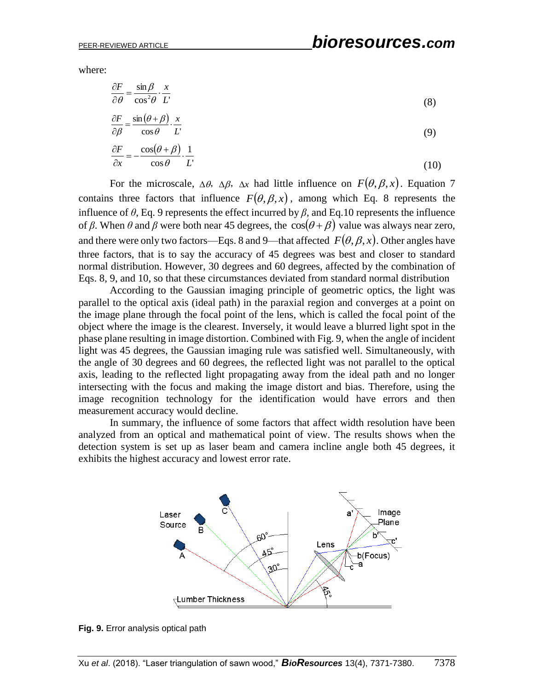where:

$$
\frac{\partial F}{\partial \theta} = \frac{\sin \beta}{\cos^2 \theta} \cdot \frac{x}{L'}
$$
  
(8)  

$$
\frac{\partial F}{\partial \beta} = \frac{\sin (\theta + \beta)}{\cos \theta} \cdot \frac{x}{L'}
$$
 (9)

$$
\frac{\partial F}{\partial x} = -\frac{\cos(\theta + \beta)}{\cos \theta} \cdot \frac{1}{L'}\tag{10}
$$

For the microscale,  $\Delta\theta$ ,  $\Delta\beta$ ,  $\Delta x$  had little influence on  $F(\theta, \beta, x)$ . Equation 7 contains three factors that influence  $F(\theta, \beta, x)$ , among which Eq. 8 represents the influence of  $\theta$ , Eq. 9 represents the effect incurred by  $\beta$ , and Eq. 10 represents the influence of  $\beta$ . When  $\theta$  and  $\beta$  were both near 45 degrees, the  $\cos(\theta + \beta)$  value was always near zero, and there were only two factors—Eqs. 8 and 9—that affected  $F(\theta, \beta, x)$ . Other angles have three factors, that is to say the accuracy of 45 degrees was best and closer to standard normal distribution. However, 30 degrees and 60 degrees, affected by the combination of Eqs. 8, 9, and 10, so that these circumstances deviated from standard normal distribution

According to the Gaussian imaging principle of geometric optics, the light was parallel to the optical axis (ideal path) in the paraxial region and converges at a point on the image plane through the focal point of the lens, which is called the focal point of the object where the image is the clearest. Inversely, it would leave a blurred light spot in the phase plane resulting in image distortion. Combined with Fig. 9, when the angle of incident light was 45 degrees, the Gaussian imaging rule was satisfied well. Simultaneously, with the angle of 30 degrees and 60 degrees, the reflected light was not parallel to the optical axis, leading to the reflected light propagating away from the ideal path and no longer intersecting with the focus and making the image distort and bias. Therefore, using the image recognition technology for the identification would have errors and then measurement accuracy would decline.

In summary, the influence of some factors that affect width resolution have been analyzed from an optical and mathematical point of view. The results shows when the detection system is set up as laser beam and camera incline angle both 45 degrees, it exhibits the highest accuracy and lowest error rate.



**Fig. 9.** Error analysis optical path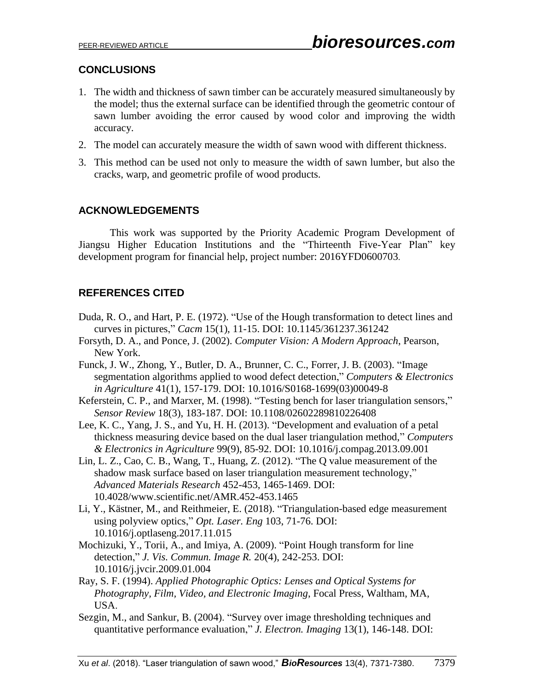# **CONCLUSIONS**

- 1. The width and thickness of sawn timber can be accurately measured simultaneously by the model; thus the external surface can be identified through the geometric contour of sawn lumber avoiding the error caused by wood color and improving the width accuracy.
- 2. The model can accurately measure the width of sawn wood with different thickness.
- 3. This method can be used not only to measure the width of sawn lumber, but also the cracks, warp, and geometric profile of wood products.

# **ACKNOWLEDGEMENTS**

This work was supported by the Priority Academic Program Development of Jiangsu Higher Education Institutions and the "Thirteenth Five-Year Plan" key development program for financial help, project number: 2016YFD0600703.

# **REFERENCES CITED**

- Duda, R. O., and Hart, P. E. (1972). "Use of the Hough transformation to detect lines and curves in pictures," *Cacm* 15(1), 11-15. DOI: 10.1145/361237.361242
- Forsyth, D. A., and Ponce, J. (2002). *Computer Vision: A Modern Approach*, Pearson, New York.
- Funck, J. W., Zhong, Y., Butler, D. A., Brunner, C. C., Forrer, J. B. (2003). "Image segmentation algorithms applied to wood defect detection," *Computers & Electronics in Agriculture* 41(1), 157-179. DOI: 10.1016/S0168-1699(03)00049-8
- Keferstein, C. P., and Marxer, M. (1998). "Testing bench for laser triangulation sensors," *Sensor Review* 18(3), 183-187. DOI: 10.1108/02602289810226408
- Lee, K. C., Yang, J. S., and Yu, H. H. (2013). "Development and evaluation of a petal thickness measuring device based on the dual laser triangulation method," *Computers & Electronics in Agriculture* 99(9), 85-92. DOI: 10.1016/j.compag.2013.09.001
- Lin, L. Z., Cao, C. B., Wang, T., Huang, Z. (2012). "The Q value measurement of the shadow mask surface based on laser triangulation measurement technology," *Advanced Materials Research* 452-453, 1465-1469. DOI: 10.4028/www.scientific.net/AMR.452-453.1465
- Li, Y., Kästner, M., and Reithmeier, E. (2018). "Triangulation-based edge measurement using polyview optics," *Opt. Laser. Eng* 103, 71-76. DOI: 10.1016/j.optlaseng.2017.11.015
- Mochizuki, Y., Torii, A., and Imiya, A. (2009). "Point Hough transform for line detection," *J. Vis. Commun. Image R.* 20(4), 242-253. DOI: 10.1016/j.jvcir.2009.01.004
- Ray, S. F. (1994). *Applied Photographic Optics: Lenses and Optical Systems for Photography, Film, Video, and Electronic Imaging*, Focal Press, Waltham, MA, USA.
- Sezgin, M., and Sankur, B. (2004). "Survey over image thresholding techniques and quantitative performance evaluation," *J. Electron. Imaging* 13(1), 146-148. DOI: